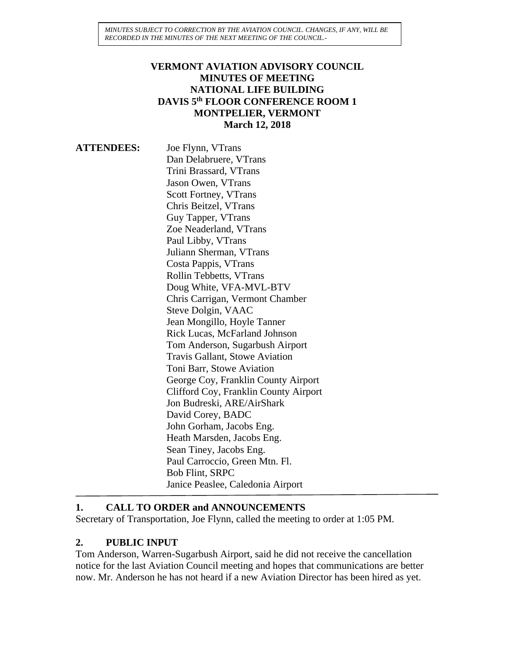*MINUTES SUBJECT TO CORRECTION BY THE AVIATION COUNCIL. CHANGES, IF ANY, WILL BE RECORDED IN THE MINUTES OF THE NEXT MEETING OF THE COUNCIL.-*

### **VERMONT AVIATION ADVISORY COUNCIL MINUTES OF MEETING NATIONAL LIFE BUILDING DAVIS 5th FLOOR CONFERENCE ROOM 1 MONTPELIER, VERMONT March 12, 2018**

**ATTENDEES:** Joe Flynn, VTrans Dan Delabruere, VTrans Trini Brassard, VTrans Jason Owen, VTrans Scott Fortney, VTrans Chris Beitzel, VTrans Guy Tapper, VTrans Zoe Neaderland, VTrans Paul Libby, VTrans Juliann Sherman, VTrans Costa Pappis, VTrans Rollin Tebbetts, VTrans Doug White, VFA-MVL-BTV Chris Carrigan, Vermont Chamber Steve Dolgin, VAAC Jean Mongillo, Hoyle Tanner Rick Lucas, McFarland Johnson Tom Anderson, Sugarbush Airport Travis Gallant, Stowe Aviation Toni Barr, Stowe Aviation George Coy, Franklin County Airport Clifford Coy, Franklin County Airport Jon Budreski, ARE/AirShark David Corey, BADC John Gorham, Jacobs Eng. Heath Marsden, Jacobs Eng. Sean Tiney, Jacobs Eng. Paul Carroccio, Green Mtn. Fl. Bob Flint, SRPC Janice Peaslee, Caledonia Airport

#### **1. CALL TO ORDER and ANNOUNCEMENTS**

Secretary of Transportation, Joe Flynn, called the meeting to order at 1:05 PM.

#### **2. PUBLIC INPUT**

Tom Anderson, Warren-Sugarbush Airport, said he did not receive the cancellation notice for the last Aviation Council meeting and hopes that communications are better now. Mr. Anderson he has not heard if a new Aviation Director has been hired as yet.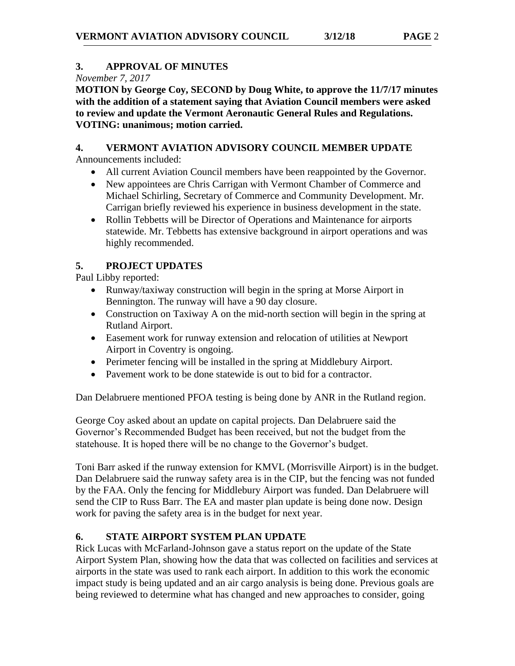## **3. APPROVAL OF MINUTES**

*November 7, 2017*

**MOTION by George Coy, SECOND by Doug White, to approve the 11/7/17 minutes with the addition of a statement saying that Aviation Council members were asked to review and update the Vermont Aeronautic General Rules and Regulations. VOTING: unanimous; motion carried.**

## **4. VERMONT AVIATION ADVISORY COUNCIL MEMBER UPDATE**

Announcements included:

- All current Aviation Council members have been reappointed by the Governor.
- New appointees are Chris Carrigan with Vermont Chamber of Commerce and Michael Schirling, Secretary of Commerce and Community Development. Mr. Carrigan briefly reviewed his experience in business development in the state.
- Rollin Tebbetts will be Director of Operations and Maintenance for airports statewide. Mr. Tebbetts has extensive background in airport operations and was highly recommended.

# **5. PROJECT UPDATES**

Paul Libby reported:

- Runway/taxiway construction will begin in the spring at Morse Airport in Bennington. The runway will have a 90 day closure.
- Construction on Taxiway A on the mid-north section will begin in the spring at Rutland Airport.
- Easement work for runway extension and relocation of utilities at Newport Airport in Coventry is ongoing.
- Perimeter fencing will be installed in the spring at Middlebury Airport.
- Pavement work to be done statewide is out to bid for a contractor.

Dan Delabruere mentioned PFOA testing is being done by ANR in the Rutland region.

George Coy asked about an update on capital projects. Dan Delabruere said the Governor's Recommended Budget has been received, but not the budget from the statehouse. It is hoped there will be no change to the Governor's budget.

Toni Barr asked if the runway extension for KMVL (Morrisville Airport) is in the budget. Dan Delabruere said the runway safety area is in the CIP, but the fencing was not funded by the FAA. Only the fencing for Middlebury Airport was funded. Dan Delabruere will send the CIP to Russ Barr. The EA and master plan update is being done now. Design work for paving the safety area is in the budget for next year.

## **6. STATE AIRPORT SYSTEM PLAN UPDATE**

Rick Lucas with McFarland-Johnson gave a status report on the update of the State Airport System Plan, showing how the data that was collected on facilities and services at airports in the state was used to rank each airport. In addition to this work the economic impact study is being updated and an air cargo analysis is being done. Previous goals are being reviewed to determine what has changed and new approaches to consider, going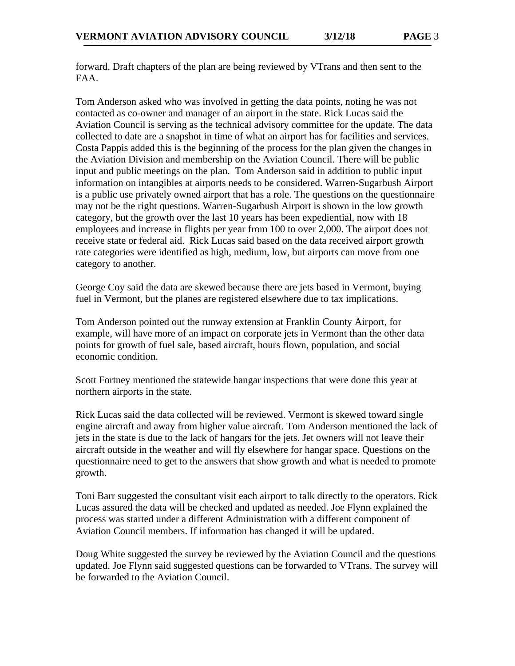forward. Draft chapters of the plan are being reviewed by VTrans and then sent to the FAA.

Tom Anderson asked who was involved in getting the data points, noting he was not contacted as co-owner and manager of an airport in the state. Rick Lucas said the Aviation Council is serving as the technical advisory committee for the update. The data collected to date are a snapshot in time of what an airport has for facilities and services. Costa Pappis added this is the beginning of the process for the plan given the changes in the Aviation Division and membership on the Aviation Council. There will be public input and public meetings on the plan. Tom Anderson said in addition to public input information on intangibles at airports needs to be considered. Warren-Sugarbush Airport is a public use privately owned airport that has a role. The questions on the questionnaire may not be the right questions. Warren-Sugarbush Airport is shown in the low growth category, but the growth over the last 10 years has been expediential, now with 18 employees and increase in flights per year from 100 to over 2,000. The airport does not receive state or federal aid. Rick Lucas said based on the data received airport growth rate categories were identified as high, medium, low, but airports can move from one category to another.

George Coy said the data are skewed because there are jets based in Vermont, buying fuel in Vermont, but the planes are registered elsewhere due to tax implications.

Tom Anderson pointed out the runway extension at Franklin County Airport, for example, will have more of an impact on corporate jets in Vermont than the other data points for growth of fuel sale, based aircraft, hours flown, population, and social economic condition.

Scott Fortney mentioned the statewide hangar inspections that were done this year at northern airports in the state.

Rick Lucas said the data collected will be reviewed. Vermont is skewed toward single engine aircraft and away from higher value aircraft. Tom Anderson mentioned the lack of jets in the state is due to the lack of hangars for the jets. Jet owners will not leave their aircraft outside in the weather and will fly elsewhere for hangar space. Questions on the questionnaire need to get to the answers that show growth and what is needed to promote growth.

Toni Barr suggested the consultant visit each airport to talk directly to the operators. Rick Lucas assured the data will be checked and updated as needed. Joe Flynn explained the process was started under a different Administration with a different component of Aviation Council members. If information has changed it will be updated.

Doug White suggested the survey be reviewed by the Aviation Council and the questions updated. Joe Flynn said suggested questions can be forwarded to VTrans. The survey will be forwarded to the Aviation Council.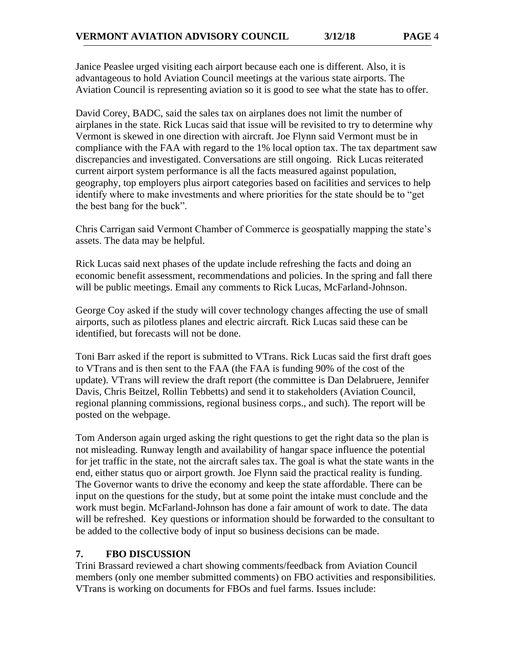Janice Peaslee urged visiting each airport because each one is different. Also, it is advantageous to hold Aviation Council meetings at the various state airports. The Aviation Council is representing aviation so it is good to see what the state has to offer.

David Corey, BADC, said the sales tax on airplanes does not limit the number of airplanes in the state. Rick Lucas said that issue will be revisited to try to determine why Vermont is skewed in one direction with aircraft. Joe Flynn said Vermont must be in compliance with the FAA with regard to the 1% local option tax. The tax department saw discrepancies and investigated. Conversations are still ongoing. Rick Lucas reiterated current airport system performance is all the facts measured against population, geography, top employers plus airport categories based on facilities and services to help identify where to make investments and where priorities for the state should be to "get the best bang for the buck".

Chris Carrigan said Vermont Chamber of Commerce is geospatially mapping the state's assets. The data may be helpful.

Rick Lucas said next phases of the update include refreshing the facts and doing an economic benefit assessment, recommendations and policies. In the spring and fall there will be public meetings. Email any comments to Rick Lucas, McFarland-Johnson.

George Coy asked if the study will cover technology changes affecting the use of small airports, such as pilotless planes and electric aircraft. Rick Lucas said these can be identified, but forecasts will not be done.

Toni Barr asked if the report is submitted to VTrans. Rick Lucas said the first draft goes to VTrans and is then sent to the FAA (the FAA is funding 90% of the cost of the update). VTrans will review the draft report (the committee is Dan Delabruere, Jennifer Davis, Chris Beitzel, Rollin Tebbetts) and send it to stakeholders (Aviation Council, regional planning commissions, regional business corps., and such). The report will be posted on the webpage.

Tom Anderson again urged asking the right questions to get the right data so the plan is not misleading. Runway length and availability of hangar space influence the potential for jet traffic in the state, not the aircraft sales tax. The goal is what the state wants in the end, either status quo or airport growth. Joe Flynn said the practical reality is funding. The Governor wants to drive the economy and keep the state affordable. There can be input on the questions for the study, but at some point the intake must conclude and the work must begin. McFarland-Johnson has done a fair amount of work to date. The data will be refreshed. Key questions or information should be forwarded to the consultant to be added to the collective body of input so business decisions can be made.

#### **7. FBO DISCUSSION**

Trini Brassard reviewed a chart showing comments/feedback from Aviation Council members (only one member submitted comments) on FBO activities and responsibilities. VTrans is working on documents for FBOs and fuel farms. Issues include: